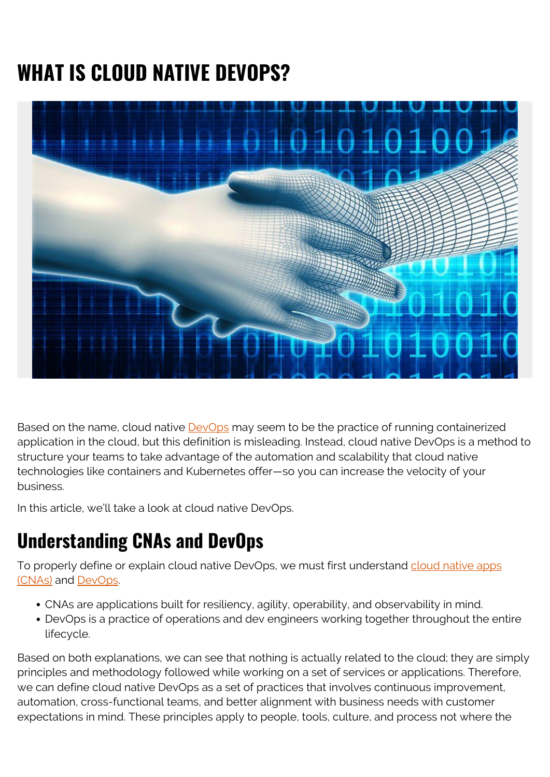## **WHAT IS CLOUD NATIVE DEVOPS?**



Based on the name, cloud native **DevOps** may seem to be the practice of running containerized application in the cloud, but this definition is misleading. Instead, cloud native DevOps is a method to structure your teams to take advantage of the automation and scalability that cloud native technologies like containers and Kubernetes offer—so you can increase the velocity of your business.

In this article, we'll take a look at cloud native DevOps.

## **Understanding CNAs and DevOps**

To properly define or explain cloud native DevOps, we must first understand [cloud native apps](https://github.com/cncf/toc/blob/master/DEFINITION.md) [\(CNAs\)](https://github.com/cncf/toc/blob/master/DEFINITION.md) and [DevOps](https://devops.com/definition-devops-masses/).

- CNAs are applications built for resiliency, agility, operability, and observability in mind.
- DevOps is a practice of operations and dev engineers working together throughout the entire lifecycle.

Based on both explanations, we can see that nothing is actually related to the cloud; they are simply principles and methodology followed while working on a set of services or applications. Therefore, we can define cloud native DevOps as a set of practices that involves continuous improvement, automation, cross-functional teams, and better alignment with business needs with customer expectations in mind. These principles apply to people, tools, culture, and process not where the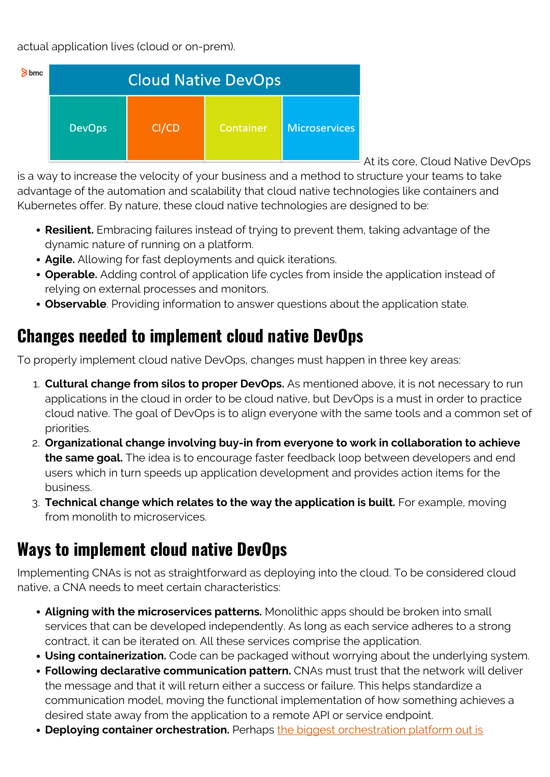actual application lives (cloud or on-prem).



At its core, Cloud Native DevOps

is a way to increase the velocity of your business and a method to structure your teams to take advantage of the automation and scalability that cloud native technologies like containers and Kubernetes offer. By nature, these cloud native technologies are designed to be:

- **Resilient.** Embracing failures instead of trying to prevent them, taking advantage of the dynamic nature of running on a platform.
- **Agile.** Allowing for fast deployments and quick iterations.
- **Operable.** Adding control of application life cycles from inside the application instead of relying on external processes and monitors.
- **Observable**. Providing information to answer questions about the application state.

## **Changes needed to implement cloud native DevOps**

To properly implement cloud native DevOps, changes must happen in three key areas:

- 1. **Cultural change from silos to proper DevOps.** As mentioned above, it is not necessary to run applications in the cloud in order to be cloud native, but DevOps is a must in order to practice cloud native. The goal of DevOps is to align everyone with the same tools and a common set of priorities.
- 2. **Organizational change involving buy-in from everyone to work in collaboration to achieve the same goal.** The idea is to encourage faster feedback loop between developers and end users which in turn speeds up application development and provides action items for the business.
- 3. **Technical change which relates to the way the application is built.** For example, moving from monolith to microservices.

## **Ways to implement cloud native DevOps**

Implementing CNAs is not as straightforward as deploying into the cloud. To be considered cloud native, a CNA needs to meet certain characteristics:

- **Aligning with the microservices patterns.** Monolithic apps should be broken into small services that can be developed independently. As long as each service adheres to a strong contract, it can be iterated on. All these services comprise the application.
- **Using containerization.** Code can be packaged without worrying about the underlying system.
- **Following declarative communication pattern.** CNAs must trust that the network will deliver the message and that it will return either a success or failure. This helps standardize a communication model, moving the functional implementation of how something achieves a desired state away from the application to a remote API or service endpoint.
- **Deploying container orchestration.** Perhaps [the biggest orchestration platform out is](https://blogs.bmc.com/blogs/kubernetes-basics-tutorial/)